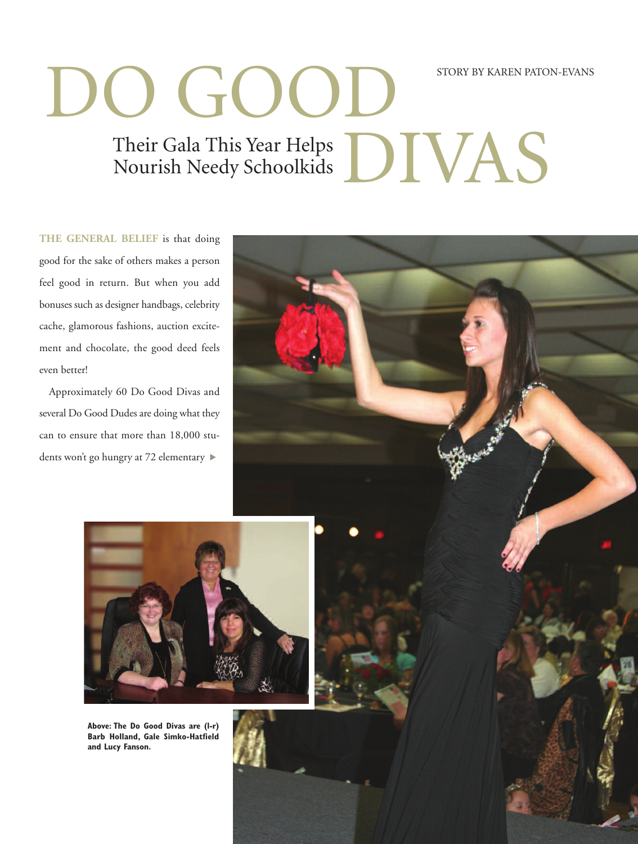## DO GOOD Their Gala This Year Helps<br>Nourish Needy Schoolkids<br>
DIVAS Nourish Needy Schoolkids STORY BY KAREN PATON-EVANS

**THE GENERAL BELIEF** is that doing good for the sake of others makes a person feel good in return. But when you add bonuses such as designer handbags, celebrity cache, glamorous fashions, auction excitement and chocolate, the good deed feels even better!

Approximately 60 Do Good Divas and several Do Good Dudes are doing what they can to ensure that more than 18,000 students won't go hungry at 72 elementary ▶